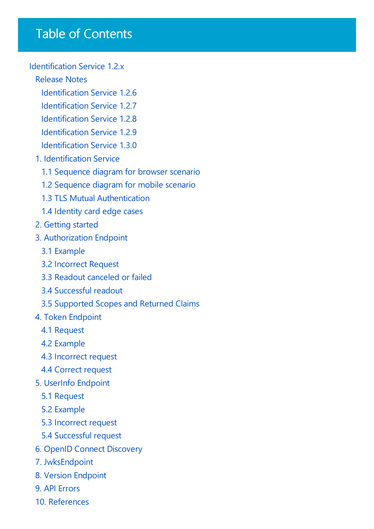# Table of Contents

#### [Identification](javascript:void(0)) Service 1.2.x

#### [Release](#page-1-0) Notes

- [Identification](#page-2-0) Service 1.2.6
- [Identification](#page-3-0) Service 1.2.7
- [Identification](#page-4-0) Service 1.2.8
- [Identification](#page-5-0) Service 1.2.9
- [Identification](#page-6-0) Service 1.3.0
- 1. [Identification](#page-7-0) Service
	- 1.1 [Sequence](#page-8-0) diagram for browser scenario
	- 1.2 [Sequence](#page-9-0) diagram for mobile scenario
	- 1.3 TLS Mutual [Authentication](#page-10-0)
	- 1.4 [Identity](#page-12-0) card edge cases
- 2. [Getting](#page-13-0) started
- 3. [Authorization](#page-14-0) Endpoint
	- 3.1 [Example](#page-15-0)
	- 3.2 [Incorrect](#page-16-0) Request
	- 3.3 Readout [canceled](#page-17-0) or failed
	- 3.4 [Successful](#page-18-0) readout
	- 3.5 Supported Scopes and Returned Claims
- 4. Token [Endpoint](#page-22-0)
	- 4.1 [Request](#page-23-0)
	- 4.2 [Example](#page-24-0)
	- 4.3 [Incorrect](#page-25-0) request
	- 4.4 [Correct](#page-26-0) request
- 5. UserInfo [Endpoint](#page-27-0)
	- 5.1 [Request](#page-28-0)
	- 5.2 [Example](#page-29-0)
	- 5.3 [Incorrect](#page-30-0) request
	- 5.4 [Successful](#page-31-0) request
- 6. OpenID Connect [Discovery](#page-32-0)
- 7. [JwksEndpoint](#page-33-0)
- 8. Version [Endpoint](#page-34-0)
- 9. API [Errors](#page-35-0)
- 10. [References](#page-36-0)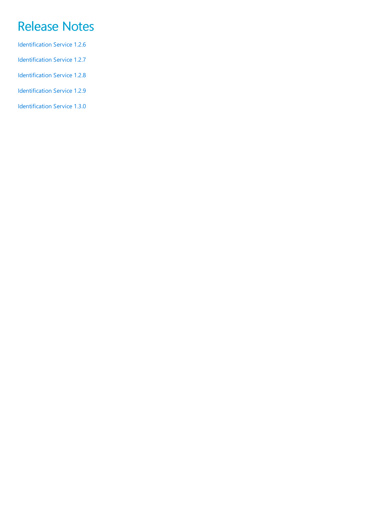# <span id="page-1-0"></span>Release Notes

- [Identification](#page-2-0) Service 1.2.6 [Identification](#page-3-0) Service 1.2.7
- [Identification](#page-4-0) Service 1.2.8
- [Identification](#page-5-0) Service 1.2.9
- [Identification](#page-6-0) Service 1.3.0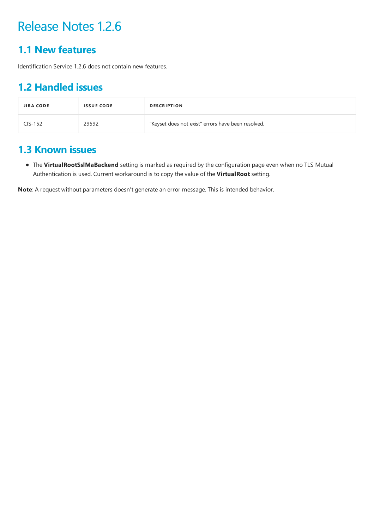### <span id="page-2-0"></span>**1.1 New features**

Identification Service 1.2.6 does not contain new features.

## **1.2 Handled issues**

| <b>JIRA CODE</b> | <b>ISSUE CODE</b> | <b>DESCRIPTION</b>                                 |
|------------------|-------------------|----------------------------------------------------|
| $CIS-152$        | 29592             | "Keyset does not exist" errors have been resolved. |

### **1.3 Known issues**

• The VirtualRootSslMaBackend setting is marked as required by the configuration page even when no TLS Mutual Authentication is used. Current workaround is to copy thevalue of the **VirtualRoot** setting.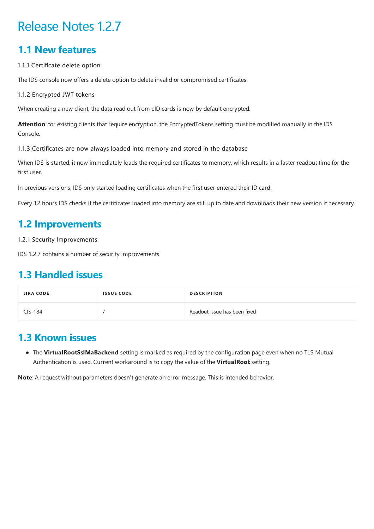### <span id="page-3-0"></span>**1.1 New features**

#### 1.1.1 Certificate delete option

The IDS console now offers a delete option to delete invalid or compromised certificates.

#### 1.1.2 Encrypted JWT tokens

When creating a new client, the data read out from eID cards is now by default encrypted.

Attention: for existing clients that require encryption, the EncryptedTokens setting must be modified manually in the IDS Console.

#### 1.1.3 Certificates are now always loaded into memory and stored in the database

When IDS is started, it now immediately loads the required certificates to memory, which results in a faster readout time for the first user.

In previous versions, IDS only started loading certificates when the first user entered their ID card.

Every 12 hours IDS checks if the certificates loaded into memory are still up to date and downloads their new version if necessary.

### **1.2 Improvements**

1.2.1 Security Improvements

IDS 1.2.7 contains a number of security improvements.

### **1.3 Handled issues**

| <b>JIRA CODE</b> | <b>ISSUE CODE</b> | <b>DESCRIPTION</b>           |
|------------------|-------------------|------------------------------|
| CIS-184          |                   | Readout issue has been fixed |

### **1.3 Known issues**

• The VirtualRootSslMaBackend setting is marked as required by the configuration page even when no TLS Mutual Authentication is used. Current workaround is to copy thevalue of the **VirtualRoot** setting.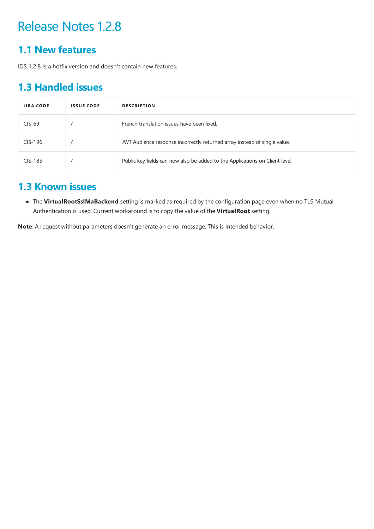### <span id="page-4-0"></span>**1.1 New features**

IDS 1.2.8 is a hotfix version and doesn't contain new features.

### **1.3 Handled issues**

| <b>JIRA CODE</b> | <b>ISSUE CODE</b> | <b>DESCRIPTION</b>                                                           |
|------------------|-------------------|------------------------------------------------------------------------------|
| $CIS-69$         |                   | French translation issues have been fixed.                                   |
| $CIS-196$        |                   | JWT Audience response incorrectly returned array instead of single value.    |
| CIS-185          |                   | Public key fields can now also be added to the Applications on Client level. |

### **1.3 Known issues**

 $\bullet$  The VirtualRootSslMaBackend setting is marked as required by the configuration page even when no TLS Mutual Authentication is used. Current workaround is to copy the value of the VirtualRoot setting.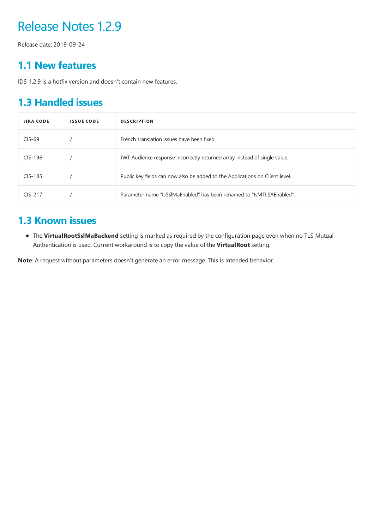<span id="page-5-0"></span>Release date: 2019-09-24

### **1.1 New features**

IDS 1.2.9 is a hotfix version and doesn't contain new features.

## **1.3 Handled issues**

| <b>JIRA CODE</b> | <b>ISSUE CODE</b> | <b>DESCRIPTION</b>                                                           |
|------------------|-------------------|------------------------------------------------------------------------------|
| $CIS-69$         |                   | French translation issues have been fixed.                                   |
| $CIS-196$        |                   | JWT Audience response incorrectly returned array instead of single value.    |
| CIS-185          |                   | Public key fields can now also be added to the Applications on Client level. |
| $CIS-217$        |                   | Parameter name "IsSSIMaEnabled" has been renamed to "IsMTLSAEnabled".        |

### **1.3 Known issues**

• The VirtualRootSslMaBackend setting is marked as required by the configuration page even when no TLS Mutual Authentication is used. Current workaround is to copy thevalue of the **VirtualRoot** setting.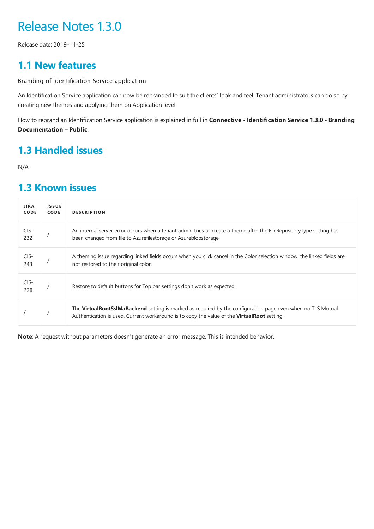<span id="page-6-0"></span>Release date: 2019-11-25

### **1.1 New features**

Branding of Identification Service application

An Identification Service application can now be rebranded to suit the clients' look and feel. Tenant administrators can do so by creating new themes and applying them on Application level.

How to rebrand an Identification Serviceapplication is explained in full in **Connective - Identification Service 1.3.0 - Branding Documentation – Public**.

### **1.3 Handled issues**

N/A.

### **1.3 Known issues**

| <b>JIRA</b><br><b>CODE</b> | <b>ISSUE</b><br><b>CODE</b> | <b>DESCRIPTION</b>                                                                                                                                                                                         |
|----------------------------|-----------------------------|------------------------------------------------------------------------------------------------------------------------------------------------------------------------------------------------------------|
| CIS-<br>232                |                             | An internal server error occurs when a tenant admin tries to create a theme after the FileRepositoryType setting has<br>been changed from file to Azurefilestorage or Azureblobstorage.                    |
| CIS-<br>243                |                             | A theming issue regarding linked fields occurs when you click cancel in the Color selection window: the linked fields are<br>not restored to their original color.                                         |
| CIS-<br>228                |                             | Restore to default buttons for Top bar settings don't work as expected.                                                                                                                                    |
|                            |                             | The VirtualRootSslMaBackend setting is marked as required by the configuration page even when no TLS Mutual<br>Authentication is used. Current workaround is to copy the value of the VirtualRoot setting. |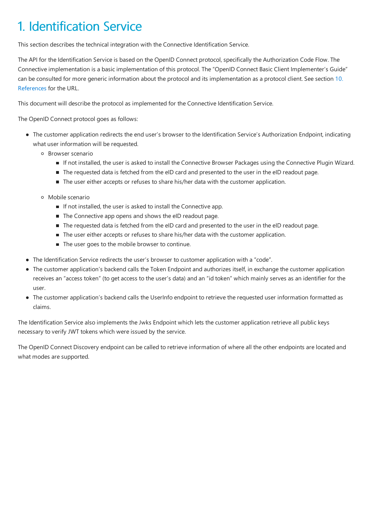# <span id="page-7-0"></span>1. Identification Service

This section describes the technical integration with the Connective Identification Service.

The API for the Identification Service is based on the OpenID Connect protocol, specifically the Authorization Code Flow. The Connective implementation is a basic implementation of this protocol. The "OpenID Connect Basic Client Implementer's Guide" can be consulted for more generic information about the protocol and its implementation as a protocol client. See section 10. References for the URL.

This document will describe the protocol as implemented for the Connective Identification Service.

The OpenID Connect protocol goes as follows:

- The customer application redirects the end user's browser to the Identification Service's Authorization Endpoint, indicating what user information will be requested.
	- Browser scenario
		- If not installed, the user is asked to install the Connective Browser Packages using the Connective Plugin Wizard.
		- The requested data is fetched from the eID card and presented to the user in the eID readout page.
		- The user either accepts or refuses to share his/her data with the customer application.
	- Mobilescenario
		- If not installed, the user is asked to install the Connective app.
		- The Connective app opens and shows the eID readout page.
		- The requested data is fetched from the eID card and presented to the user in the eID readout page.
		- The user either accepts or refuses to share his/her data with the customer application.
		- $\blacksquare$  The user goes to the mobile browser to continue.
- The Identification Service redirects the user's browser to customer application with a "code".
- The customer application's backend calls the Token Endpoint and authorizes itself, in exchange the customer application receives an "access token" (to get access to the user's data) and an "id token" which mainly serves as an identifier for the user.
- The customer application's backend calls the UserInfo endpoint to retrieve the requested user information formatted as claims.

The Identification Service also implements the Jwks Endpoint which lets the customer application retrieve all public keys necessary to verify JWT tokens which were issued by the service.

The OpenID Connect Discovery endpoint can be called to retrieve information of where all the other endpoints are located and what modes are supported.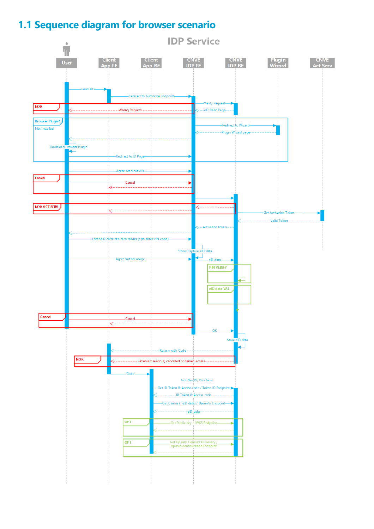## <span id="page-8-0"></span>**1.1 Sequence diagram for browser scenario**

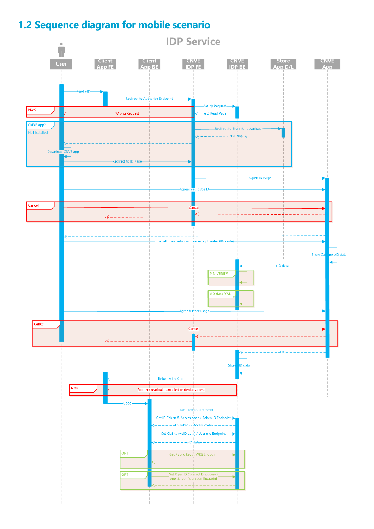## <span id="page-9-0"></span>**1.2 Sequence diagram for mobile scenario**

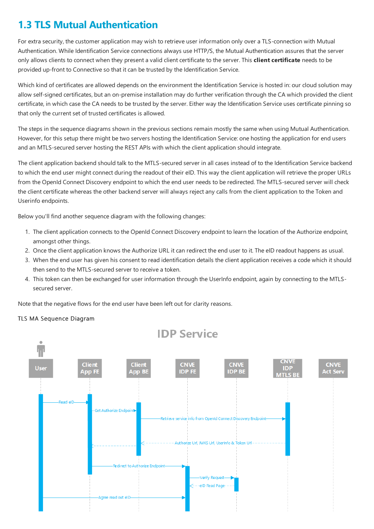## <span id="page-10-0"></span>**1.3 TLS Mutual Authentication**

For extra security, the customer application may wish to retrieve user information only over a TLS-connection with Mutual Authentication. While Identification Service connections always use HTTP/S, the Mutual Authentication assures that the server only allows clients to connect when they presenta valid client certificateto theserver.This **client certificate** needs to be provided up-front to Connective so that it can be trusted by the Identification Service.

Which kind of certificates are allowed depends on the environment the Identification Service is hosted in: our cloud solution may allow self-signed certificates, but an on-premise installation may do further verification through the CA which provided the client certificate, in which case the CA needs to be trusted by the server. Either way the Identification Service uses certificate pinning so that only the current set of trusted certificates is allowed.

The steps in the sequence diagrams shown in the previous sections remain mostly the same when using Mutual Authentication. However, for this setup there might be two servers hosting the Identification Service: one hosting the application for end users and an MTLS-secured server hosting the REST APIs with which the client application should integrate.

The client application backend should talk to the MTLS-secured server in all cases instead of to the Identification Service backend to which the end user might connect during the readout of their eID. This way the client application will retrieve the proper URLs from the OpenId Connect Discovery endpoint to which the end user needs to be redirected. The MTLS-secured server will check the client certificate whereas the other backend server will always reject any calls from the client application to the Token and Userinfo endpoints.

Below you'll find another sequence diagram with the following changes:

- 1. The client application connects to the OpenId Connect Discovery endpoint to learn the location of the Authorize endpoint, amongst other things.
- 2. Once the client application knows the Authorize URL it can redirect the end user to it. The eID readout happens as usual.
- 3. When the end user has given his consent to read identification details the client application receives a code which it should then send to the MTLS-secured server to receive a token.
- 4. This token can then be exchanged for user information through the UserInfo endpoint, again by connecting to the MTLSsecured server.

Note that the negative flows for the end user have been left out for clarity reasons.

#### TLS MA Sequence Diagram

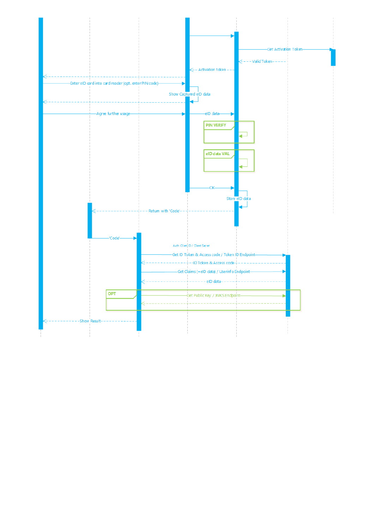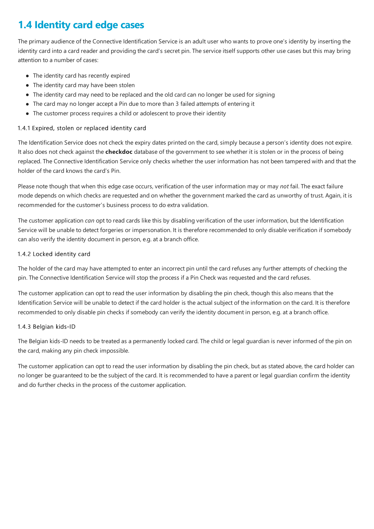## <span id="page-12-0"></span>**1.4 Identity card edge cases**

The primary audience of the Connective Identification Service is an adult user who wants to prove one's identity by inserting the identity card into a card reader and providing the card's secret pin. The service itself supports other use cases but this may bring attention to a number of cases:

- $\bullet$  The identity card has recently expired
- $\bullet$  The identity card may have been stolen
- The identity card may need to be replaced and the old card can no longer be used for signing
- The card may no longer accept a Pin due to more than 3 failed attempts of entering it
- The customer process requires a child or adolescent to prove their identity

#### 1.4.1 Expired, stolen or replaced identity card

The Identification Service does not check the expiry dates printed on the card, simply because a person's identity does not expire. Italso does not check against the**checkdoc** database of the government to see whether it is stolen or in the process of being replaced. The Connective Identification Service only checks whether the user information has not been tampered with and that the holder of the card knows the card's Pin.

Please note though that when this edge case occurs, verification of the user information may or may *not* fail. The exact failure mode depends on which checks are requested and on whether the government marked the card as unworthy of trust. Again, it is recommended for the customer's business process to do extra validation.

The customer application *can* opt to read cards like this by disabling verification of the user information, but the Identification Service will be unable to detect forgeries or impersonation. It is therefore recommended to only disable verification if somebody can also verify the identity document in person, e.g. at a branch office.

#### 1.4.2 Locked identity card

The holder of the card may have attempted to enter an incorrect pin until the card refuses any further attempts of checking the pin. The Connective Identification Service will stop the process if a Pin Check was requested and the card refuses.

The customer application can opt to read the user information by disabling the pin check, though this also means that the Identification Service will be unable to detect if the card holder is the actual subject of the information on the card. It is therefore recommended to only disable pin checks if somebody can verify the identity document in person, e.g. at a branch office.

#### 1.4.3 Belgian kids-ID

The Belgian kids-ID needs to be treated as a permanently locked card. The child or legal guardian is never informed of the pin on the card, making any pin check impossible.

The customer application can opt to read the user information by disabling the pin check, but as stated above, the card holder can no longer be guaranteed to be the subject of the card. It is recommended to have a parent or legal guardian confirm the identity and do further checks in the process of the customer application.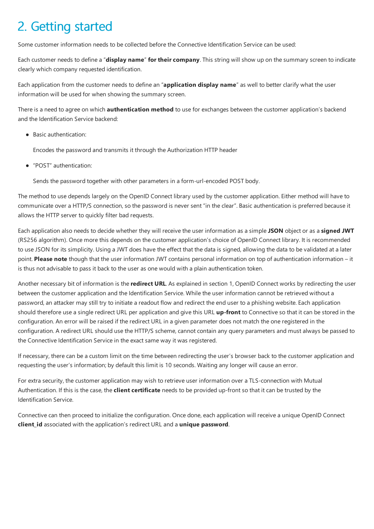# <span id="page-13-0"></span>2. Getting started

Some customer information needs to be collected before the Connective Identification Service can be used:

Each customer needs to definea "**display name**" **for their company**.This string will show up on thesummary screen to indicate clearly which company requested identification.

Each application from the customer needs to define an "**application display name**" as well to better clarify what the user information will be used for when showing the summary screen.

There is a need to agree on which **authentication method** to use for exchanges between the customer application's backend and the Identification Service backend:

• Basic authentication:

Encodes the password and transmits it through the Authorization HTTP header

"POST" authentication:

Sends the password together with other parameters in a form-url-encoded POST body.

The method to use depends largely on the OpenID Connect library used by the customer application. Either method will have to communicate over a HTTP/S connection, so the password is never sent "in the clear". Basic authentication is preferred because it allows the HTTP server to quickly filter bad requests.

Each application also needs to decide whether they will receivethe user information as a simple**JSON** object or as a **signed JWT** (RS256 algorithm). Once more this depends on the customer application's choice of OpenID Connect library. It is recommended to use JSON for its simplicity. Using a JWT does have the effect that the data is signed, allowing the data to be validated at a later point. **Please note** though that the user information JWTcontains personal information on top of authentication information – it is thus not advisable to pass it back to the user as one would with a plain authentication token.

Another necessary bit of information is the**redirect URL**. As explained in section 1, OpenID Connect works by redirecting the user between the customer application and the Identification Service. While the user information cannot be retrieved without a password, an attacker may still try to initiate a readout flow and redirect the end user to a phishing website. Each application should therefore use a single redirect URL per application and give this URL **up-front** to Connective so that it can be stored in the configuration. An error will be raised if the redirect URL in a given parameter does not match the one registered in the configuration. A redirect URL should use the HTTP/S scheme, cannot contain any query parameters and must always be passed to the Connective Identification Service in the exact same way it was registered.

If necessary, there can be a custom limit on the time between redirecting the user's browser back to the customer application and requesting the user's information; by default this limit is 10 seconds.Waiting any longer will causean error.

For extra security, the customer application may wish to retrieve user information over a TLS-connection with Mutual Authentication. If this is the case, the **client certificate** needs to be provided up-front so that it can be trusted by the Identification Service.

Connective can then proceed to initialize the configuration. Once done, each application will receive a unique OpenID Connect **client id** associated with the application's redirect URL and a *unique* password.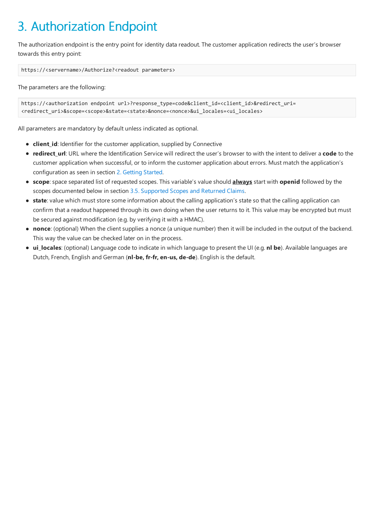# <span id="page-14-0"></span>3. Authorization Endpoint

The authorization endpoint is the entry point for identity data readout. The customer application redirects the user's browser towards this entry point:

https://<servername>/Authorize?<readout parameters>

The parameters are the following:

```
https://<authorization endpoint url>?response_type=code&client_id=<client_id>&redirect_uri=
<redirect_uri>&scope=<scope>&state=<state>&nonce=<nonce>&ui_locales=<ui_locales>
```
All parameters are mandatory by default unless indicated as optional.

- **client\_id**: Identifier for the customer application, supplied by Connective
- **redirect\_url**: URL where the Identification Service will redirect the user's browser to with the intent to deliver a code to the customer application when successful, or to inform the customer application about errors. Must match the application's configuration as seen in section 2. [Getting](#page-13-0) Started.
- **scope**: space separated list of requested scopes. This variable's value should **always** start with **openid** followed by the scopes documented below in section [3.5.Supported](#page-20-0) Scopes and Returned Claims.
- **state**: value which must store some information about the calling application's state so that the calling application can confirm that a readout happened through its own doing when the user returns to it. This value may be encrypted but must be secured against modification (e.g. by verifying it with a HMAC).
- **nonce**: (optional) When the client supplies a nonce (a unique number) then it will be included in the output of the backend. This way the value can be checked later on in the process.
- **ui\_locales**: (optional) Languagecodeto indicatein which languageto present the UI (e.g. **nl be**). Availablelanguages are Dutch,French,English and German (**nl-be, fr-fr, en-us, de-de**).English is the default.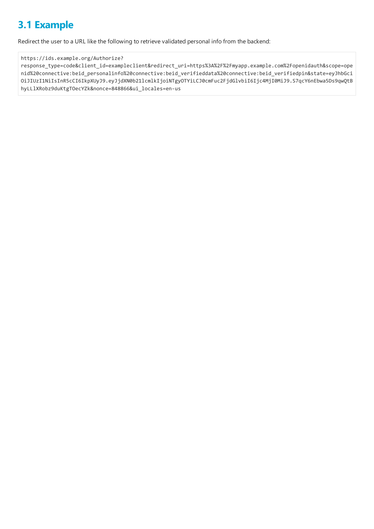## <span id="page-15-0"></span>**3.1 Example**

Redirect the user to a URL like the following to retrieve validated personal info from the backend:

#### https://ids.example.org/Authorize?

response\_type=code&client\_id=exampleclient&redirect\_uri=https%3A%2F%2Fmyapp.example.com%2Fopenidauth&scope=ope nid%20connective:beid\_personalinfo%20connective:beid\_verifieddata%20connective:beid\_verifiedpin&state=eyJhbGci OiJIUzI1NiIsInR5cCI6IkpXUyJ9.eyJjdXN0b21lcmlkIjoiNTgyOTYiLCJ0cmFuc2FjdGlvbiI6Ijc4MjI0MiJ9.S7qcY6nEbwa5Ds9qwQtB hyLLlXRobz9duKtgTOecYZk&nonce=848866&ui\_locales=en-us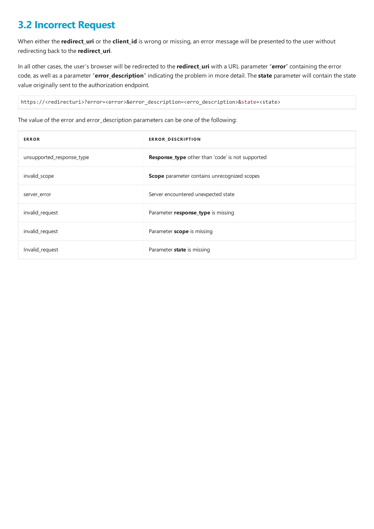## <span id="page-16-0"></span>**3.2 Incorrect Request**

When either the **redirect\_uri** or the **client\_id** is wrong or missing, an error message will be presented to the user without redirecting back to the**redirect\_uri**.

In all other cases, the user's browser will be redirected to the **redirect uri** with a URL parameter "error" containing the error code, as well as a parameter "error\_description" indicating the problem in more detail. The state parameter will contain the state value originally sent to the authorization endpoint.

https://<redirecturi>?error=<error>&error\_description=<erro\_description>&state=<state>

The value of the error and error\_description parameters can be one of the following:

| <b>ERROR</b>              | ERROR_DESCRIPTION                                       |
|---------------------------|---------------------------------------------------------|
| unsupported_response_type | <b>Response type</b> other than 'code' is not supported |
| invalid_scope             | <b>Scope</b> parameter contains unrecognized scopes     |
| server_error              | Server encountered unexpected state                     |
| invalid_request           | Parameter response_type is missing                      |
| invalid_request           | Parameter scope is missing                              |
| Invalid_request           | Parameter <b>state</b> is missing                       |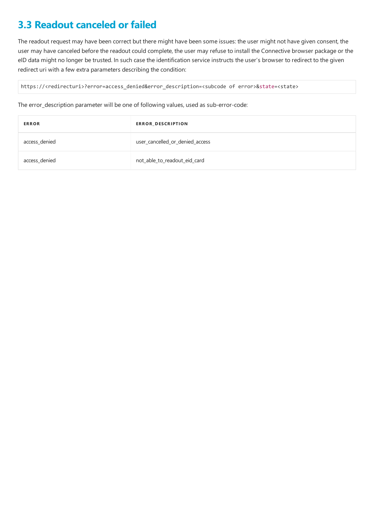## <span id="page-17-0"></span>**3.3 Readout canceled or failed**

The readout request may have been correct but there might have been some issues: the user might not have given consent, the user may have canceled before the readout could complete, the user may refuse to install the Connective browser package or the eID data might no longer be trusted. In such case the identification service instructs the user's browser to redirect to the given redirect uri with a few extra parameters describing the condition:

https://<redirecturi>?error=access\_denied&error\_description=<subcode of error>&state=<state>

The error\_description parameter will be one of following values, used as sub-error-code:

| <b>ERROR</b>  | ERROR_DESCRIPTION               |
|---------------|---------------------------------|
| access_denied | user cancelled or denied access |
| access_denied | not_able_to_readout_eid_card    |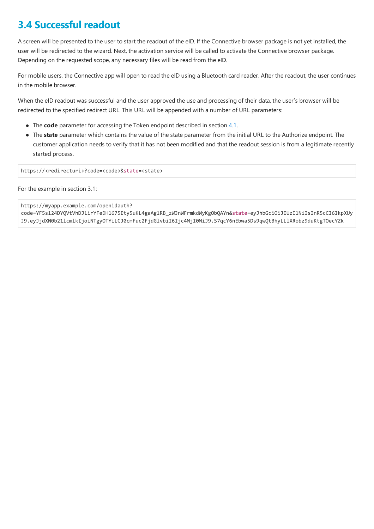## <span id="page-18-0"></span>**3.4 Successful readout**

A screen will be presented to the user to start the readout of the eID. If the Connective browser package is not yet installed, the user will be redirected to the wizard. Next, the activation service will be called to activate the Connective browser package. Depending on the requested scope, any necessary files will be read from the eID.

For mobile users, the Connective app will open to read the eID using a Bluetooth card reader. After the readout, the user continues in the mobile browser.

When the eID readout was successful and the user approved the use and processing of their data, the user's browser will be redirected to the specified redirect URL. This URL will be appended with a number of URL parameters:

- The **code** parameter for accessing the Token endpoint described in section [4.1](#page-23-0).
- The state parameter which contains the value of the state parameter from the initial URL to the Authorize endpoint. The customer application needs to verify that it has not been modified and that the readout session is from a legitimate recently started process.

https://<redirecturi>?code=<code>&state=<state>

For the example in section 3.1:

https://myapp.example.com/openidauth?

code=YF5sl24DYQVtVhDJlirYFeDH1675Ety5uKL4gaAglRB\_zWJnWFrmkdWyKgObQAYn&state=eyJhbGciOiJIUzI1NiIsInR5cCI6IkpXUy J9.eyJjdXN0b21lcmlkIjoiNTgyOTYiLCJ0cmFuc2FjdGlvbiI6Ijc4MjI0MiJ9.S7qcY6nEbwa5Ds9qwQtBhyLLlXRobz9duKtgTOecYZk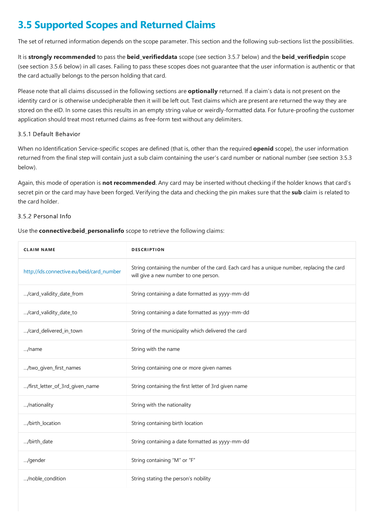## **3.5 Supported Scopes and Returned Claims**

The set of returned information depends on the scope parameter. This section and the following sub-sections list the possibilities.

It is **strongly recommended** to pass the **beid\_verifieddata** scope(seesection 3.5.7 below) and the **beid\_verifiedpin** scope (see section 3.5.6 below) in all cases. Failing to pass these scopes does not guarantee that the user information is authentic or that the card actually belongs to the person holding that card.

Please note that all claims discussed in the following sections are **optionally** returned. If a claim's data is not present on the identity card or is otherwise undecipherable then it will be left out. Text claims which are present are returned the way they are stored on the eID. In some cases this results in an empty string value or weirdly-formatted data. For future-proofing the customer application should treat most returned claims as free-form text without any delimiters.

#### 3.5.1 Default Behavior

When no Identification Service-specific scopes are defined (that is, other than therequired **openid** scope), the user information returned from the final step will contain just a sub claim containing the user's card number or national number (see section 3.5.3 below).

Again, this mode of operation is **not recommended**. Any card may be inserted without checking if the holder knows that card's secret pin or the card may have been forged. Verifying the data and checking the pin makes sure that the sub claim is related to the card holder.

#### 3.5.2 Personal Info

Use the **connective: beid personalinfo** scope to retrieve the following claims:

| <b>CLAIM NAME</b>                         | <b>DESCRIPTION</b>                                                                                                                   |
|-------------------------------------------|--------------------------------------------------------------------------------------------------------------------------------------|
| http://ids.connective.eu/beid/card_number | String containing the number of the card. Each card has a unique number, replacing the card<br>will give a new number to one person. |
| /card_validity_date_from                  | String containing a date formatted as yyyy-mm-dd                                                                                     |
| /card_validity_date_to                    | String containing a date formatted as yyyy-mm-dd                                                                                     |
| /card_delivered_in_town                   | String of the municipality which delivered the card                                                                                  |
| /name                                     | String with the name                                                                                                                 |
| /two_given_first_names                    | String containing one or more given names                                                                                            |
| /first_letter_of_3rd_given_name           | String containing the first letter of 3rd given name                                                                                 |
| /nationality                              | String with the nationality                                                                                                          |
| /birth_location                           | String containing birth location                                                                                                     |
| /birth_date                               | String containing a date formatted as yyyy-mm-dd                                                                                     |
| /gender                                   | String containing "M" or "F"                                                                                                         |
| /noble_condition                          | String stating the person's nobility                                                                                                 |
|                                           |                                                                                                                                      |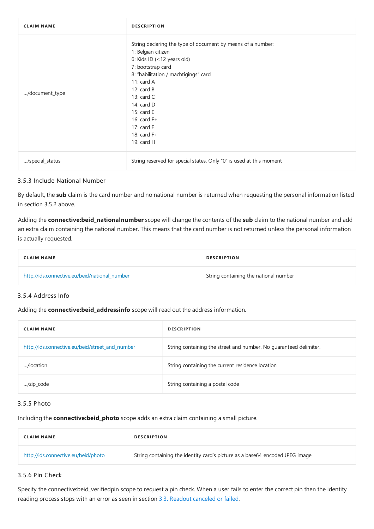<span id="page-20-0"></span>

| <b>CLAIM NAME</b> | <b>DESCRIPTION</b>                                                                                                                                                                                                                                                                                                             |
|-------------------|--------------------------------------------------------------------------------------------------------------------------------------------------------------------------------------------------------------------------------------------------------------------------------------------------------------------------------|
| /document_type    | String declaring the type of document by means of a number:<br>1: Belgian citizen<br>6: Kids ID (<12 years old)<br>7: bootstrap card<br>8: "habilitation / machtigings" card<br>11: card $A$<br>12: $card B$<br>13: $card C$<br>14: $card D$<br>15: card $E$<br>16: card $E+$<br>17: card $F$<br>18: card $F+$<br>19: card $H$ |
| /special_status   | String reserved for special states. Only "0" is used at this moment                                                                                                                                                                                                                                                            |

#### 3.5.3 Include National Number

By default, the sub claim is the card number and no national number is returned when requesting the personal information listed in section 3.5.2 above.

Adding the **connective:beid\_nationalnumber** scope will change the contents of the **sub** claim to the national number and add an extra claim containing the national number. This means that the card number is not returned unless the personal information is actually requested.

| <b>CLAIM NAME</b>                             | <b>DESCRIPTION</b>                    |
|-----------------------------------------------|---------------------------------------|
| http://ids.connective.eu/beid/national_number | String containing the national number |

#### 3.5.4 Address Info

Adding the **connective:beid addressinfo** scope will read out the address information.

| <b>CLAIM NAME</b>                               | <b>DESCRIPTION</b>                                                |
|-------------------------------------------------|-------------------------------------------------------------------|
| http://ids.connective.eu/beid/street and number | String containing the street and number. No quaranteed delimiter. |
| /location                                       | String containing the current residence location                  |
| /zip_code                                       | String containing a postal code                                   |

#### 3.5.5 Photo

Including the**connective:beid\_photo** scopeadds an extra claim containing a small picture.

| <b>CLAIM NAME</b>                   | <b>DESCRIPTION</b>                                                           |
|-------------------------------------|------------------------------------------------------------------------------|
| http://ids.connective.eu/beid/photo | String containing the identity card's picture as a base64 encoded JPEG image |

#### 3.5.6 Pin Check

Specify the connective:beid\_verifiedpin scope to request a pin check. When a user fails to enter the correct pin then the identity reading process stops with an error as seen in section 3.3. Readout [canceled](#page-17-0) or failed.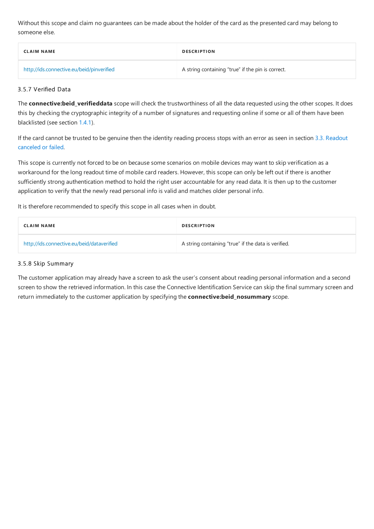Without this scope and claim no guarantees can be made about the holder of the card as the presented card may belong to someone else.

| <b>CLAIM NAME</b>                         | <b>DESCRIPTION</b>                                |
|-------------------------------------------|---------------------------------------------------|
| http://ids.connective.eu/beid/pinverified | A string containing "true" if the pin is correct. |

#### 3.5.7 Verified Data

The **connective:beid\_verifieddata** scope will check the trustworthiness of all the data requested using the other scopes. It does this by checking the cryptographic integrity of a number of signatures and requesting online if some or all of them have been blacklisted (see section [1.4.1](#page-12-0)).

If the card cannot be trusted to be genuine then the identity reading process stops with an error as seen in section 3.3. Readout canceled or failed.

This scope is currently not forced to be on because some scenarios on mobile devices may want to skip verification as a workaround for the long readout time of mobile card readers. However, this scope can only be left out if there is another sufficiently strong authentication method to hold the right user accountable for any read data. It is then up to the customer application to verify that the newly read personal info is valid and matches older personal info.

It is therefore recommended to specify this scope in all cases when in doubt.

| <b>CLAIM NAME</b>                          | <b>DESCRIPTION</b>                                  |
|--------------------------------------------|-----------------------------------------------------|
| http://ids.connective.eu/beid/dataverified | A string containing "true" if the data is verified. |

#### 3.5.8 Skip Summary

The customer application may already have a screen to ask the user's consent about reading personal information and a second screen to show the retrieved information. In this case the Connective Identification Service can skip the final summary screen and return immediately to the customer application by specifying the **connective:beid nosummary** scope.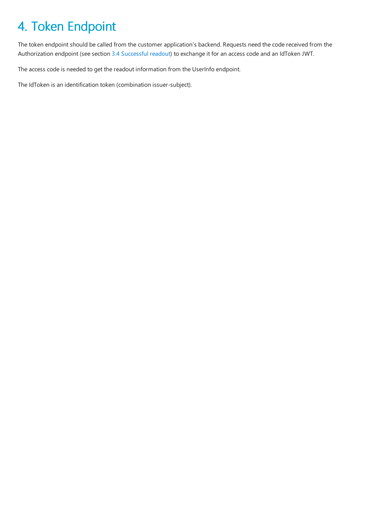# <span id="page-22-0"></span>4. Token Endpoint

The token endpoint should be called from the customer application's backend. Requests need the code received from the Authorization endpoint (see section 3.4 [Successful](#page-18-0) readout) to exchange it for an access code and an IdToken JWT.

The access code is needed to get the readout information from the UserInfo endpoint.

The IdToken is an identification token (combination issuer-subject).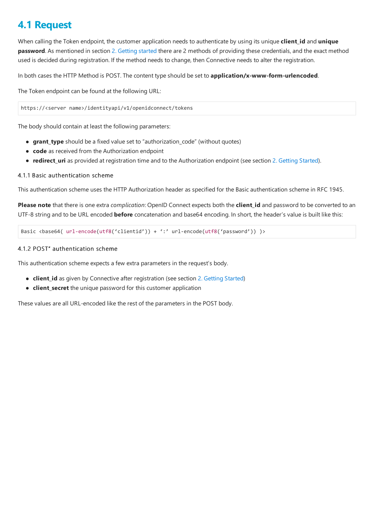### <span id="page-23-0"></span>**4.1 Request**

When calling the Token endpoint, the customer application needs to authenticate by using its unique **client id** and **unique password**. As mentioned in section 2. [Getting](#page-13-0) started there are 2 methods of providing these credentials, and the exact method used is decided during registration. If the method needs to change, then Connective needs to alter theregistration.

In both cases the HTTP Method is POST. The content type should be set to **application/x-www-form-urlencoded**.

The Token endpoint can be found at the following URL:

https://<server name>/identityapi/v1/openidconnect/tokens

The body should contain at least the following parameters:

- **grant type** should be a fixed value set to "authorization code" (without quotes)
- **code** as received from the Authorization endpoint
- **redirect uri** as provided at registration time and to the Authorization endpoint (see section 2. [Getting](#page-13-0) Started).

#### 4.1.1 Basic authentication scheme

This authentication scheme uses the HTTP Authorization header as specified for the Basic authentication scheme in RFC 1945.

Please note that there is one extra *complication*: OpenID Connect expects both the client\_id and password to be converted to an UTF-8 string and to be URL encoded **before** concatenation and base64 encoding. In short, the header's value is built like this:

Basic <br/>base64( url-encode(utf8('clientid')) + ':' url-encode(utf8('password')) )>

#### 4.1.2 POST" authentication scheme

This authentication scheme expects a few extra parameters in the request's body.

- **client id** as given by Connective after registration (see section 2. [Getting](#page-13-0) Started)
- **client\_secret** the unique password for this customer application

These values are all URL-encoded like the rest of the parameters in the POST body.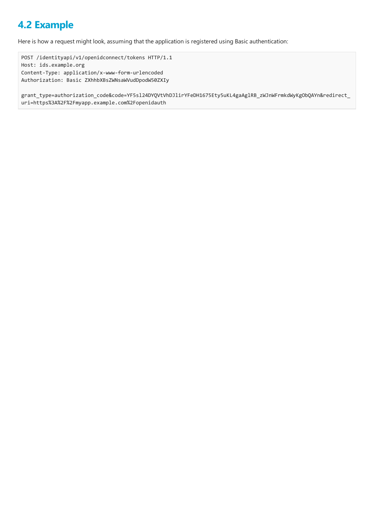## <span id="page-24-0"></span>**4.2 Example**

Here is how a request might look, assuming that the application is registered using Basic authentication:

POST /identityapi/v1/openidconnect/tokens HTTP/1.1 Host: ids.example.org Content-Type: application/x-www-form-urlencoded Authorization: Basic ZXhhbXBsZWNsaWVudDpodW50ZXIy

grant\_type=authorization\_code&code=YF5sl24DYQVtVhDJlirYFeDH1675Ety5uKL4gaAglRB\_zWJnWFrmkdWyKgObQAYn&redirect\_ uri=https%3A%2F%2Fmyapp.example.com%2Fopenidauth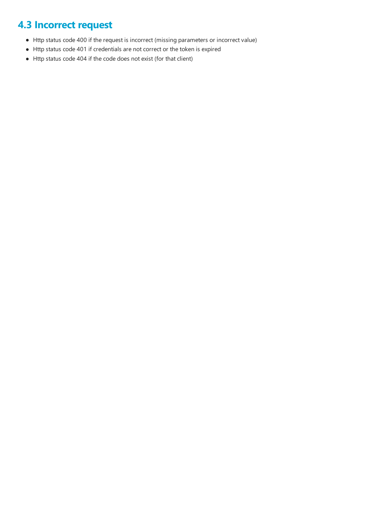## <span id="page-25-0"></span>**4.3 Incorrect request**

- Http status code 400 if the request is incorrect (missing parameters or incorrect value)
- Http status code 401 if credentials are not correct or the token is expired
- Http status code 404 if the code does not exist (for that client)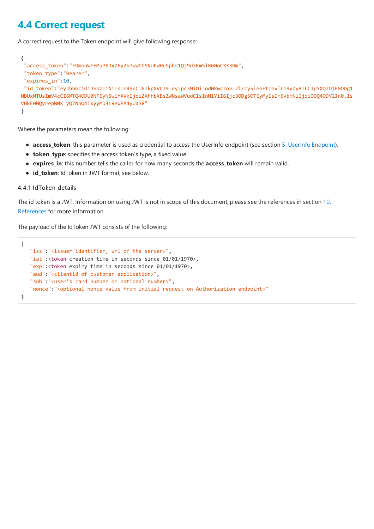### <span id="page-26-0"></span>**4.4 Correct request**

A correct request to the Token endpoint will give following response:

```
{
"access_token":"EDmobWFEMuP8JxZEy2k7wWtb9NUEWHuSphs1Qj9d3Rm5lBG0oCXX3Rm",
"token_type":"Bearer",
"expires_in":10,
"id_token":"eyJhbGciOiJSUzI1NiIsInR5cCI6IkpXVCJ9.eyJpc3MiOiJodHRwczovL2lkcy5leGFtcGxlLm9yZy8iLCJpYXQiOjE0ODg1
NDUxMTUsImV4cCI6MTQ4ODU0NTEyNSwiYXVkIjoiZXhhbXBsZWNsaWVudCIsInN1YiI6Ijc3ODg5OTEyMyIsIm5vbmNlIjoiODQ4ODY2In0.1s
VHkE0MQyrepWNK_yQ7NbQ4IxyyMD3L9ewFA4yUaS8"
}
```
Where the parameters mean the following:

- **access\_token**: this parameter is used as credential to access the UserInfo endpoint (see section 5. UserInfo [Endpoint](#page-27-0)).
- **token\_type**: specifies the access token's type, a fixed value.
- **expires\_in**: this number tells thecaller for how many seconds the **access\_token** will remain valid.
- **id\_token**: IdToken in JWT format, see below.

#### 4.4.1 IdToken details

The id token is a JWT. Information on using JWT is not in scope of this document, please see the references in section 10. References for more information.

The payload of the IdToken JWT consists of the following:

```
{
   "iss":"<issuer identifier, url of the server>",
  "iat":<token creation time in seconds since 01/01/1970>,
  "exp":<token expiry time in seconds since 01/01/1970>,
   "aud":"<clientid of customer application>",
   "sub":"<user's card number or national number>",
   "nonce":"<optional nonce value from initial request on Authorization endpoint>"
}
```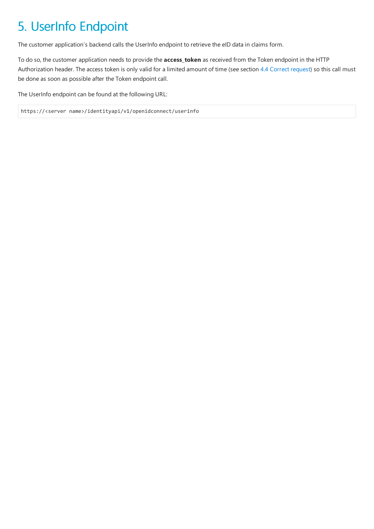# <span id="page-27-0"></span>5. UserInfo Endpoint

The customer application's backend calls the UserInfo endpoint to retrieve the eID data in claims form.

To do so, the customer application needs to provide the **access\_token** as received from the Token endpoint in the HTTP Authorization header. The access token is only valid for a limited amount of time (see section 4.4 [Correct](#page-26-0) request) so this call must be done as soon as possible after the Token endpoint call.

The UserInfo endpoint can be found at the following URL:

https://<server name>/identityapi/v1/openidconnect/userinfo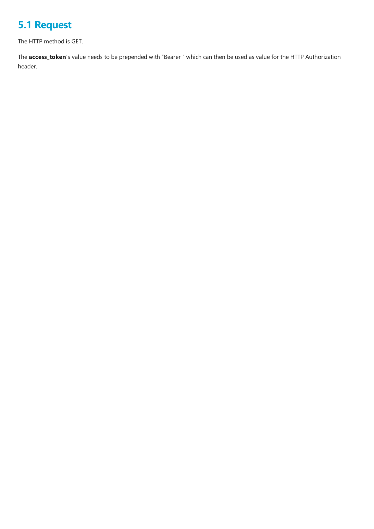## <span id="page-28-0"></span>**5.1 Request**

The HTTP method is GET.

The **access\_token**'s value needs to be prepended with "Bearer " which can then be used as value for the HTTP Authorization header.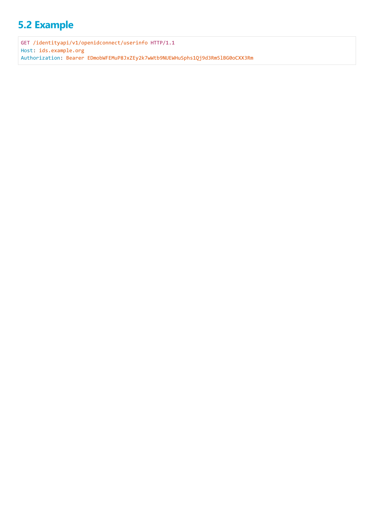## <span id="page-29-0"></span>**5.2 Example**

GET /identityapi/v1/openidconnect/userinfo HTTP/1.1 Host: ids.example.org Authorization: Bearer EDmobWFEMuP8JxZEy2k7wWtb9NUEWHuSphs1Qj9d3Rm5lBG0oCXX3Rm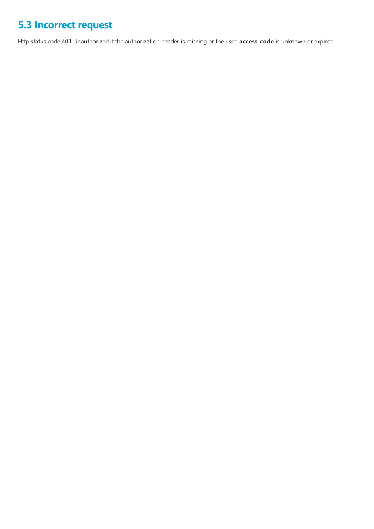## <span id="page-30-0"></span>**5.3 Incorrect request**

Http status code 401 Unauthorized if the authorization header is missing or the used **access\_code** is unknown or expired.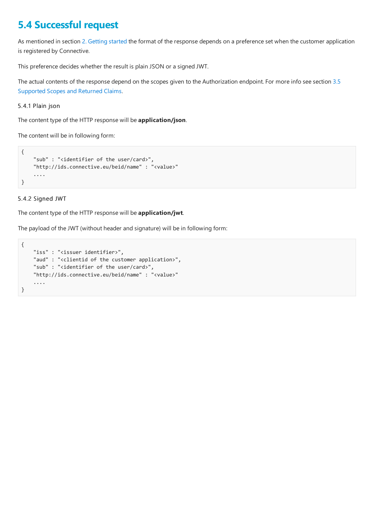### <span id="page-31-0"></span>**5.4 Successful request**

As mentioned in section 2. [Getting](#page-13-0) started the format of the response depends on a preference set when the customer application is registered by Connective.

This preference decides whether the result is plain JSON or a signed JWT.

The actual contents of the response depend on the scopes given to the [Authorization](#page-20-0) endpoint. For more info see section 3.5 Supported Scopes and Returned Claims.

5.4.1 Plain json

The content type of the HTTP response will be **application/json**.

The content will be in following form:

```
{
    "sub" : "<identifier of the user/card>",
    "http://ids.connective.eu/beid/name" : "<value>"
    ....
}
```
#### 5.4.2 Signed JWT

The content type of the HTTP response will be **application/jwt**.

The payload of the JWT (without header and signature) will be in following form:

```
{
   "iss" : "<issuer identifier>",
   "aud" : "<clientid of the customer application>",
    "sub" : "<identifier of the user/card>",
    "http://ids.connective.eu/beid/name" : "<value>"
    ....
}
```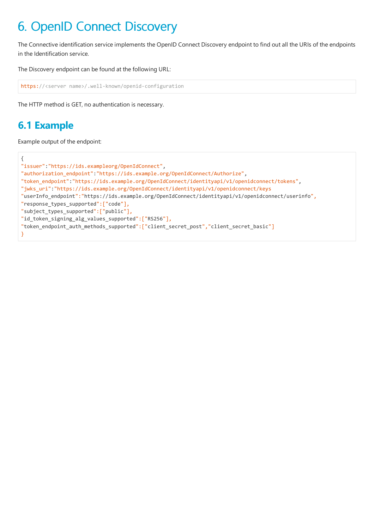# <span id="page-32-0"></span>6. OpenID Connect Discovery

The Connective identification service implements the OpenID Connect Discovery endpoint to find out all the URIs of the endpoints in the Identification service.

The Discovery endpoint can be found at the following URL:

```
https://<server name>/.well-known/openid-configuration
```
The HTTP method is GET, no authentication is necessary.

### **6.1 Example**

Example output of the endpoint:

```
{
"issuer":"https://ids.exampleorg/OpenIdConnect",
"authorization_endpoint":"https://ids.example.org/OpenIdConnect/Authorize",
"token_endpoint":"https://ids.example.org/OpenIdConnect/identityapi/v1/openidconnect/tokens",
"jwks_uri":"https://ids.example.org/OpenIdConnect/identityapi/v1/openidconnect/keys
"userInfo_endpoint":"https://ids.example.org/OpenIdConnect/identityapi/v1/openidconnect/userinfo",
"response_types_supported":["code"],
"subject_types_supported":["public"],
"id_token_signing_alg_values_supported":["RS256"],
"token_endpoint_auth_methods_supported":["client_secret_post","client_secret_basic"]
}
```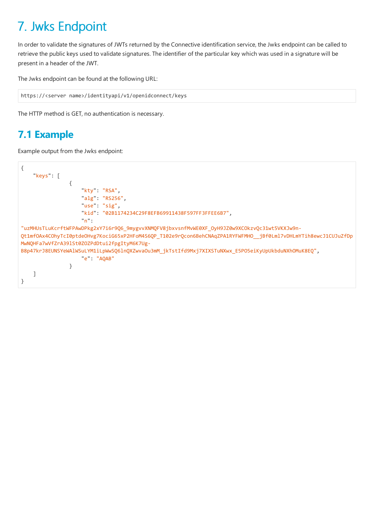# <span id="page-33-0"></span>7. Jwks Endpoint

In order to validate the signatures of JWTs returned by the Connective identification service, the Jwks endpoint can be called to retrieve the public keys used to validate signatures. The identifier of the particular key which was used in a signature will be present in a header of the JWT.

The Jwks endpoint can be found at the following URL:

```
https://<server name>/identityapi/v1/openidconnect/keys
```
The HTTP method is GET, no authentication is necessary.

## **7.1 Example**

Example output from the Jwks endpoint:

```
{
   "keys": [
                {
                    "kty": "RSA",
                    "alg": "RS256",
                    "use": "sig",
                    "kid": "02B1174234C29F8EFB69911438F597FF3FFEE6B7",
                    "n":
"uzMHUsTLuKcrftWFPAwDPkg2xY7i6r9Q6_9mygvvXNMQFV8jbxvsnfMvWE0XF_OyH9JZ0w9XCOkzvQc31wt5VKXJw9n-
Qt1mfOAx4COhyTcI0ptdeOHvg7KociG65xP2HFoM4S6QP_T102e9rQcon6BehCNAqZPA1RYFWFMHO__jBf0Lml7vDHLmYTih8ewcJ1CUJuZfDp
MwNQHFa7wVfZrA39lSt0ZOZPdDtui2fpgItyM6K7Ug-
B8p47krJ8EUNSYeWAlWSuLYM1iLpWwSQ6lnQXZwvaOu3mM_jkTstIfd9Mxj7XIXSTuNXwx_E5PO5eiKyUpUkbduNXhOMuK8EQ",
                    "e": "AQAB"
                }
   ]
}
```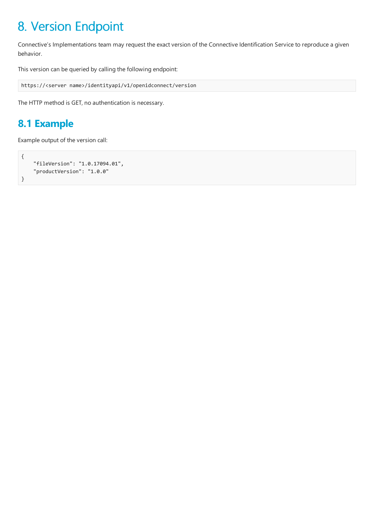# <span id="page-34-0"></span>8. Version Endpoint

Connective's Implementations team may request the exact version of the Connective Identification Service to reproduce a given behavior.

This version can be queried by calling the following endpoint:

```
https://<server name>/identityapi/v1/openidconnect/version
```
The HTTP method is GET, no authentication is necessary.

### **8.1 Example**

Example output of the version call:

```
{
    "fileVersion": "1.0.17094.01",
    "productVersion": "1.0.0"
}
```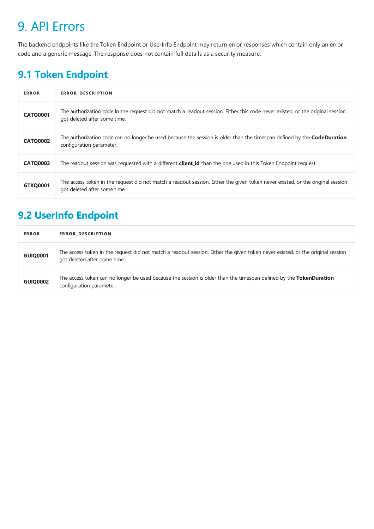# <span id="page-35-0"></span>9. API Errors

The backend endpoints like the Token Endpoint or UserInfo Endpoint may return error responses which contain only an error code and a generic message. The response does not contain full details as a security measure.

## **9.1 Token Endpoint**

| <b>ERROR</b>    | <b>ERROR DESCRIPTION</b>                                                                                                                                       |
|-----------------|----------------------------------------------------------------------------------------------------------------------------------------------------------------|
| <b>CATQ0001</b> | The authorization code in the request did not match a readout session. Either this code never existed, or the original session<br>got deleted after some time. |
| <b>CATQ0002</b> | The authorization code can no longer be used because the session is older than the timespan defined by the <b>CodeDuration</b><br>configuration parameter.     |
| <b>CATQ0003</b> | The readout session was requested with a different <b>client id</b> than the one used in this Token Endpoint request.                                          |
| <b>GTKQ0001</b> | The access token in the request did not match a readout session. Either the given token never existed, or the original session<br>got deleted after some time. |

## **9.2 UserInfo Endpoint**

| <b>ERROR</b>    | ERROR_DESCRIPTION                                                                                                                                              |
|-----------------|----------------------------------------------------------------------------------------------------------------------------------------------------------------|
| <b>GUIQ0001</b> | The access token in the request did not match a readout session. Either the given token never existed, or the original session<br>got deleted after some time. |
| <b>GUIQ0002</b> | The access token can no longer be used because the session is older than the timespan defined by the TokenDuration<br>configuration parameter.                 |